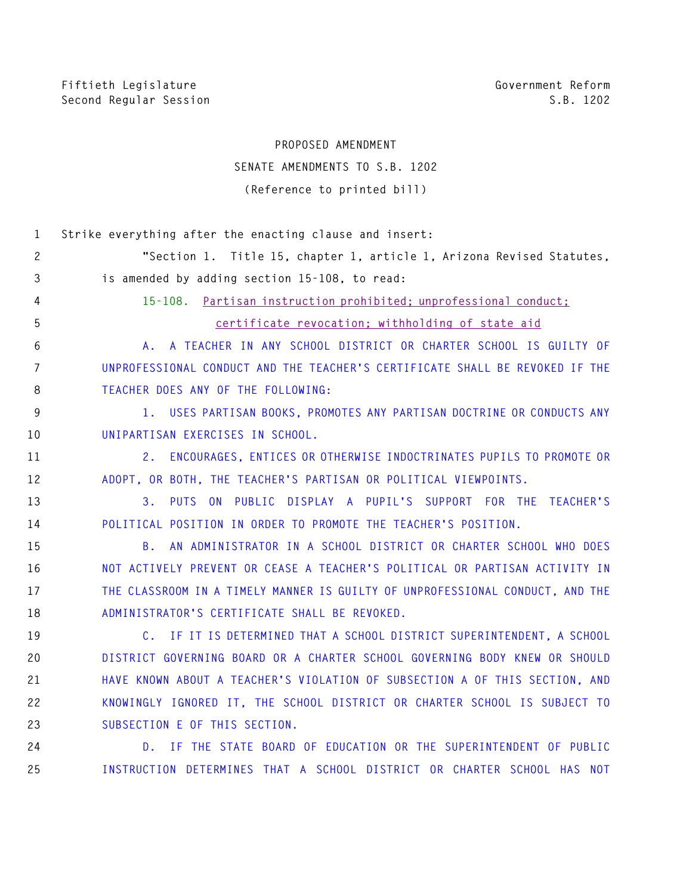## **PROPOSED AMENDMENT**

## **SENATE AMENDMENTS TO S.B. 1202 (Reference to printed bill)**

| 1            | Strike everything after the enacting clause and insert:                        |
|--------------|--------------------------------------------------------------------------------|
| $\mathbf{2}$ | "Section 1. Title 15, chapter 1, article 1, Arizona Revised Statutes,          |
| 3            | is amended by adding section 15-108, to read:                                  |
| 4            | 15-108. Partisan instruction prohibited: unprofessional conduct:               |
| 5            | certificate revocation; withholding of state aid                               |
| 6            | A. A TEACHER IN ANY SCHOOL DISTRICT OR CHARTER SCHOOL IS GUILTY OF             |
| 7            | UNPROFESSIONAL CONDUCT AND THE TEACHER'S CERTIFICATE SHALL BE REVOKED IF THE   |
| 8            | TEACHER DOES ANY OF THE FOLLOWING:                                             |
| 9            | 1. USES PARTISAN BOOKS, PROMOTES ANY PARTISAN DOCTRINE OR CONDUCTS ANY         |
| 10           | UNIPARTISAN EXERCISES IN SCHOOL.                                               |
| 11           | 2. ENCOURAGES, ENTICES OR OTHERWISE INDOCTRINATES PUPILS TO PROMOTE OR         |
| 12           | ADOPT, OR BOTH, THE TEACHER'S PARTISAN OR POLITICAL VIEWPOINTS.                |
| 13           | PUTS ON PUBLIC DISPLAY A PUPIL'S SUPPORT FOR THE TEACHER'S<br>3.               |
| 14           | POLITICAL POSITION IN ORDER TO PROMOTE THE TEACHER'S POSITION.                 |
| 15           | AN ADMINISTRATOR IN A SCHOOL DISTRICT OR CHARTER SCHOOL WHO DOES<br><b>B</b> . |
| 16           | NOT ACTIVELY PREVENT OR CEASE A TEACHER'S POLITICAL OR PARTISAN ACTIVITY IN    |
| 17           | THE CLASSROOM IN A TIMELY MANNER IS GUILTY OF UNPROFESSIONAL CONDUCT, AND THE  |
| 18           | ADMINISTRATOR'S CERTIFICATE SHALL BE REVOKED.                                  |
| 19           | C. IF IT IS DETERMINED THAT A SCHOOL DISTRICT SUPERINTENDENT, A SCHOOL         |
| 20           | DISTRICT GOVERNING BOARD OR A CHARTER SCHOOL GOVERNING BODY KNEW OR SHOULD     |
| 21           | HAVE KNOWN ABOUT A TEACHER'S VIOLATION OF SUBSECTION A OF THIS SECTION, AND    |
| 22           | KNOWINGLY IGNORED IT, THE SCHOOL DISTRICT OR CHARTER SCHOOL IS SUBJECT TO      |
| 23           | SUBSECTION E OF THIS SECTION.                                                  |
| 24           | D. IF THE STATE BOARD OF EDUCATION OR THE SUPERINTENDENT OF PUBLIC             |
| 25           | INSTRUCTION DETERMINES THAT A SCHOOL DISTRICT OR CHARTER SCHOOL HAS NOT        |